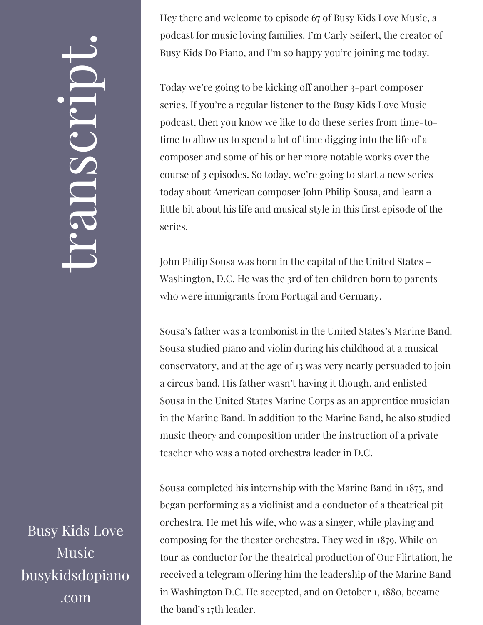## $\leftarrow$ ra<br>S n $\boldsymbol{C}$  $\bigcup$ r $\bullet$   $\overline{\phantom{1}}$  $\boxed{\phantom{1}}$  $\overline{\phantom{a}}$  $\bullet$

Busy Kids Love Music busykidsdopiano .com

Hey there and welcome to episode 67 of Busy Kids Love Music, a podcast for music loving families. I'm Carly Seifert, the creator of Busy Kids Do Piano, and I'm so happy you're joining me today.

Today we're going to be kicking off another 3-part composer series. If you're a regular listener to the Busy Kids Love Music podcast, then you know we like to do these series from time-totime to allow us to spend a lot of time digging into the life of a composer and some of his or her more notable works over the course of 3 episodes. So today, we're going to start a new series today about American composer John Philip Sousa, and learn a little bit about his life and musical style in this first episode of the series.

John Philip Sousa was born in the capital of the United States – Washington, D.C. He was the 3rd of ten children born to parents who were immigrants from Portugal and Germany.

Sousa's father was a trombonist in the United States's Marine Band. Sousa studied piano and violin during his childhood at a musical conservatory, and at the age of 13 was very nearly persuaded to join a circus band. His father wasn't having it though, and enlisted Sousa in the United States Marine Corps as an apprentice musician in the Marine Band. In addition to the Marine Band, he also studied music theory and composition under the instruction of a private teacher who was a noted orchestra leader in D.C.

Sousa completed his internship with the Marine Band in 1875, and began performing as a violinist and a conductor of a theatrical pit orchestra. He met his wife, who was a singer, while playing and composing for the theater orchestra. They wed in 1879. While on tour as conductor for the theatrical production of Our Flirtation, he received a telegram offering him the leadership of the Marine Band in Washington D.C. He accepted, and on October 1, 1880, became the band's 17th leader.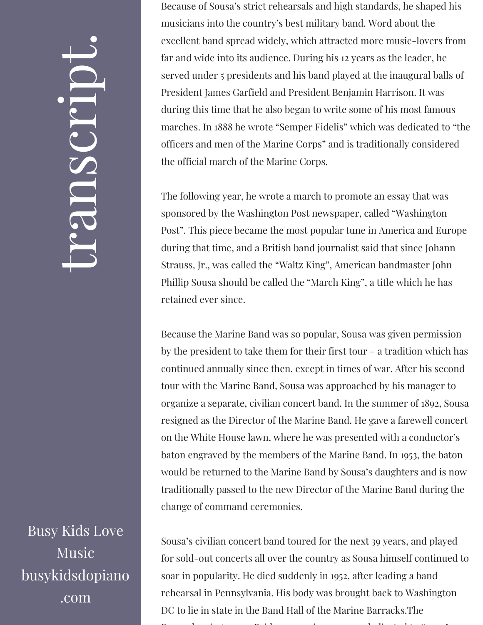## $\leftarrow$ ra<br>S n $\boldsymbol{C}$  $\bigcup$ r $\bullet$   $\overline{\phantom{1}}$  $\boxed{\phantom{1}}$  $\overline{\phantom{a}}$  $\bullet$

Busy Kids Love Music busykidsdopiano .com

Because of Sousa's strict rehearsals and high standards, he shaped his musicians into the country's best military band. Word about the excellent band spread widely, which attracted more music-lovers from far and wide into its audience. During his 12 years as the leader, he served under 5 presidents and his band played at the inaugural balls of President James Garfield and President Benjamin Harrison. It was during this time that he also began to write some of his most famous marches. In 1888 he wrote "Semper Fidelis" which was dedicated to "the officers and men of the Marine Corps" and is traditionally considered the official march of the Marine Corps.

The following year, he wrote a march to promote an essay that was sponsored by the Washington Post newspaper, called "Washington Post". This piece became the most popular tune in America and Europe during that time, and a British band journalist said that since Johann Strauss, Jr., was called the "Waltz King", American bandmaster John Phillip Sousa should be called the "March King", a title which he has retained ever since.

Because the Marine Band was so popular, Sousa was given permission by the president to take them for their first tour – a tradition which has continued annually since then, except in times of war. After his second tour with the Marine Band, Sousa was approached by his manager to organize a separate, civilian concert band. In the summer of 1892, Sousa resigned as the Director of the Marine Band. He gave a farewell concert on the White House lawn, where he was presented with a conductor's baton engraved by the members of the Marine Band. In 1953, the baton would be returned to the Marine Band by Sousa's daughters and is now traditionally passed to the new Director of the Marine Band during the change of command ceremonies.

Sousa's civilian concert band toured for the next 39 years, and played for sold-out concerts all over the country as Sousa himself continued to soar in popularity. He died suddenly in 1952, after leading a band rehearsal in Pennsylvania. His body was brought back to Washington DC to lie in state in the Band Hall of the Marine Barracks.The P l i A B id i d di t d t S '